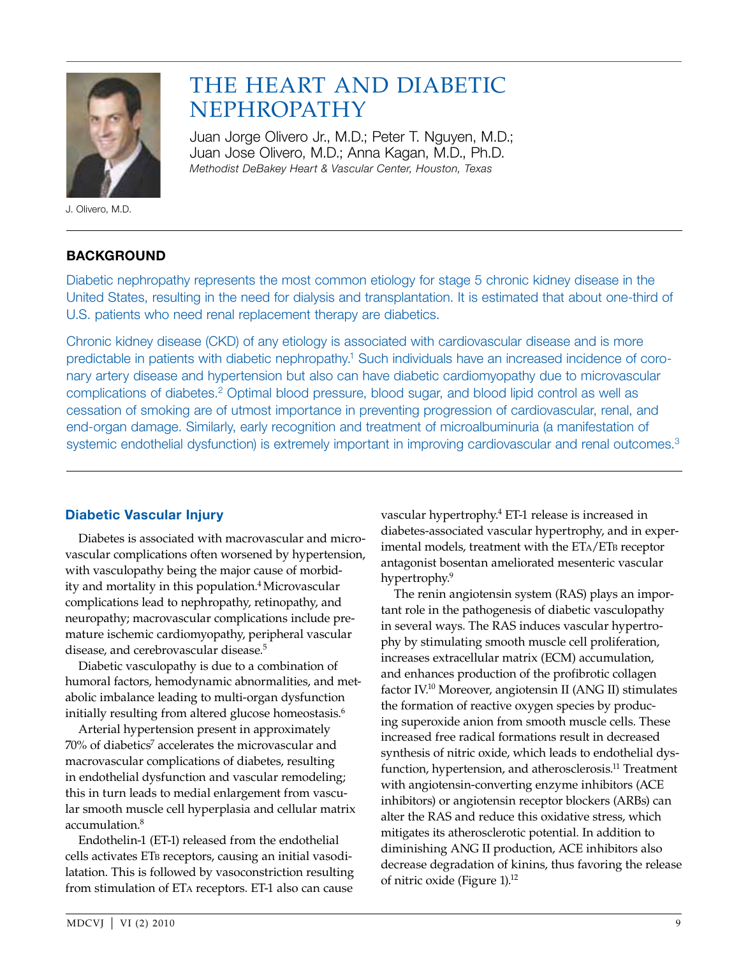

J. Olivero, M.D.

# **BACKGROUND**

Diabetic nephropathy represents the most common etiology for stage 5 chronic kidney disease in the United States, resulting in the need for dialysis and transplantation. It is estimated that about one-third of U.S. patients who need renal replacement therapy are diabetics.

THE Heart and Diabetic

Juan Jorge Olivero Jr., M.D.; Peter T. Nguyen, M.D.; Juan Jose Olivero, M.D.; Anna Kagan, M.D., Ph.D. *Methodist DeBakey Heart & Vascular Center, Houston, Texas*

**NEPHROPATHY** 

Chronic kidney disease (CKD) of any etiology is associated with cardiovascular disease and is more predictable in patients with diabetic nephropathy.<sup>1</sup> Such individuals have an increased incidence of coronary artery disease and hypertension but also can have diabetic cardiomyopathy due to microvascular complications of diabetes.<sup>2</sup> Optimal blood pressure, blood sugar, and blood lipid control as well as cessation of smoking are of utmost importance in preventing progression of cardiovascular, renal, and end-organ damage. Similarly, early recognition and treatment of microalbuminuria (a manifestation of systemic endothelial dysfunction) is extremely important in improving cardiovascular and renal outcomes.<sup>3</sup>

#### **Diabetic Vascular Injury**

Diabetes is associated with macrovascular and microvascular complications often worsened by hypertension, with vasculopathy being the major cause of morbidity and mortality in this population.<sup>4</sup> Microvascular complications lead to nephropathy, retinopathy, and neuropathy; macrovascular complications include premature ischemic cardiomyopathy, peripheral vascular disease, and cerebrovascular disease.<sup>5</sup>

Diabetic vasculopathy is due to a combination of humoral factors, hemodynamic abnormalities, and metabolic imbalance leading to multi-organ dysfunction initially resulting from altered glucose homeostasis.<sup>6</sup>

Arterial hypertension present in approximately 70% of diabetics<sup>7</sup> accelerates the microvascular and macrovascular complications of diabetes, resulting in endothelial dysfunction and vascular remodeling; this in turn leads to medial enlargement from vascular smooth muscle cell hyperplasia and cellular matrix accumulation.8

Endothelin-1 (ET-1) released from the endothelial cells activates ETB receptors, causing an initial vasodilatation. This is followed by vasoconstriction resulting from stimulation of ETA receptors. ET-1 also can cause

vascular hypertrophy.4 ET-1 release is increased in diabetes-associated vascular hypertrophy, and in experimental models, treatment with the ETA/ETB receptor antagonist bosentan ameliorated mesenteric vascular hypertrophy.<sup>9</sup>

The renin angiotensin system (RAS) plays an important role in the pathogenesis of diabetic vasculopathy in several ways. The RAS induces vascular hypertrophy by stimulating smooth muscle cell proliferation, increases extracellular matrix (ECM) accumulation, and enhances production of the profibrotic collagen factor IV.10 Moreover, angiotensin II (ANG II) stimulates the formation of reactive oxygen species by producing superoxide anion from smooth muscle cells. These increased free radical formations result in decreased synthesis of nitric oxide, which leads to endothelial dysfunction, hypertension, and atherosclerosis.<sup>11</sup> Treatment with angiotensin-converting enzyme inhibitors (ACE inhibitors) or angiotensin receptor blockers (ARBs) can alter the RAS and reduce this oxidative stress, which mitigates its atherosclerotic potential. In addition to diminishing ANG II production, ACE inhibitors also decrease degradation of kinins, thus favoring the release of nitric oxide (Figure 1).12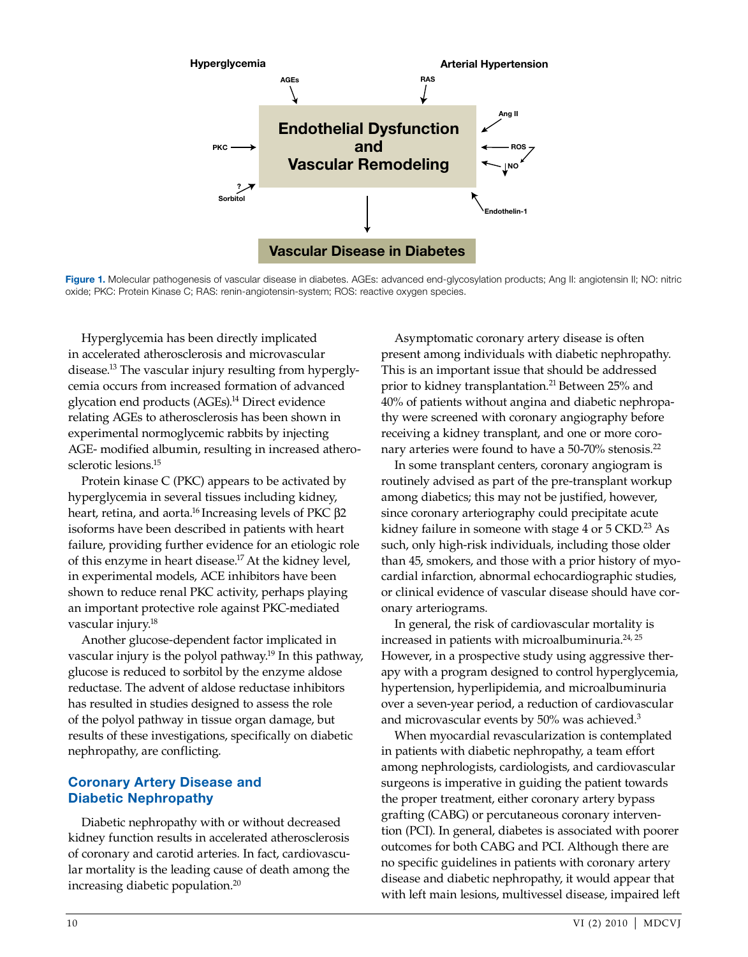

Figure 1. Molecular pathogenesis of vascular disease in diabetes. AGEs: advanced end-glycosylation products; Ang II: angiotensin II; NO: nitric oxide; PKC: Protein Kinase C; RAS: renin-angiotensin-system; ROS: reactive oxygen species.

Hyperglycemia has been directly implicated in accelerated atherosclerosis and microvascular disease.13 The vascular injury resulting from hyperglycemia occurs from increased formation of advanced glycation end products (AGEs).14 Direct evidence relating AGEs to atherosclerosis has been shown in experimental normoglycemic rabbits by injecting AGE- modified albumin, resulting in increased atherosclerotic lesions.15

Protein kinase C (PKC) appears to be activated by hyperglycemia in several tissues including kidney, heart, retina, and aorta.16 Increasing levels of PKC β2 isoforms have been described in patients with heart failure, providing further evidence for an etiologic role of this enzyme in heart disease.17 At the kidney level, in experimental models, ACE inhibitors have been shown to reduce renal PKC activity, perhaps playing an important protective role against PKC-mediated vascular injury.18

Another glucose-dependent factor implicated in vascular injury is the polyol pathway.<sup>19</sup> In this pathway, glucose is reduced to sorbitol by the enzyme aldose reductase. The advent of aldose reductase inhibitors has resulted in studies designed to assess the role of the polyol pathway in tissue organ damage, but results of these investigations, specifically on diabetic nephropathy, are conflicting.

### **Coronary Artery Disease and Diabetic Nephropathy**

Diabetic nephropathy with or without decreased kidney function results in accelerated atherosclerosis of coronary and carotid arteries. In fact, cardiovascular mortality is the leading cause of death among the increasing diabetic population.20

Asymptomatic coronary artery disease is often present among individuals with diabetic nephropathy. This is an important issue that should be addressed prior to kidney transplantation.<sup>21</sup> Between 25% and 40% of patients without angina and diabetic nephropathy were screened with coronary angiography before receiving a kidney transplant, and one or more coronary arteries were found to have a 50-70% stenosis.22

In some transplant centers, coronary angiogram is routinely advised as part of the pre-transplant workup among diabetics; this may not be justified, however, since coronary arteriography could precipitate acute kidney failure in someone with stage  $4$  or  $5$  CKD.<sup>23</sup> As such, only high-risk individuals, including those older than 45, smokers, and those with a prior history of myocardial infarction, abnormal echocardiographic studies, or clinical evidence of vascular disease should have coronary arteriograms.

In general, the risk of cardiovascular mortality is increased in patients with microalbuminuria.<sup>24, 25</sup> However, in a prospective study using aggressive therapy with a program designed to control hyperglycemia, hypertension, hyperlipidemia, and microalbuminuria over a seven-year period, a reduction of cardiovascular and microvascular events by 50% was achieved.3

When myocardial revascularization is contemplated in patients with diabetic nephropathy, a team effort among nephrologists, cardiologists, and cardiovascular surgeons is imperative in guiding the patient towards the proper treatment, either coronary artery bypass grafting (CABG) or percutaneous coronary intervention (PCI). In general, diabetes is associated with poorer outcomes for both CABG and PCI. Although there are no specific guidelines in patients with coronary artery disease and diabetic nephropathy, it would appear that with left main lesions, multivessel disease, impaired left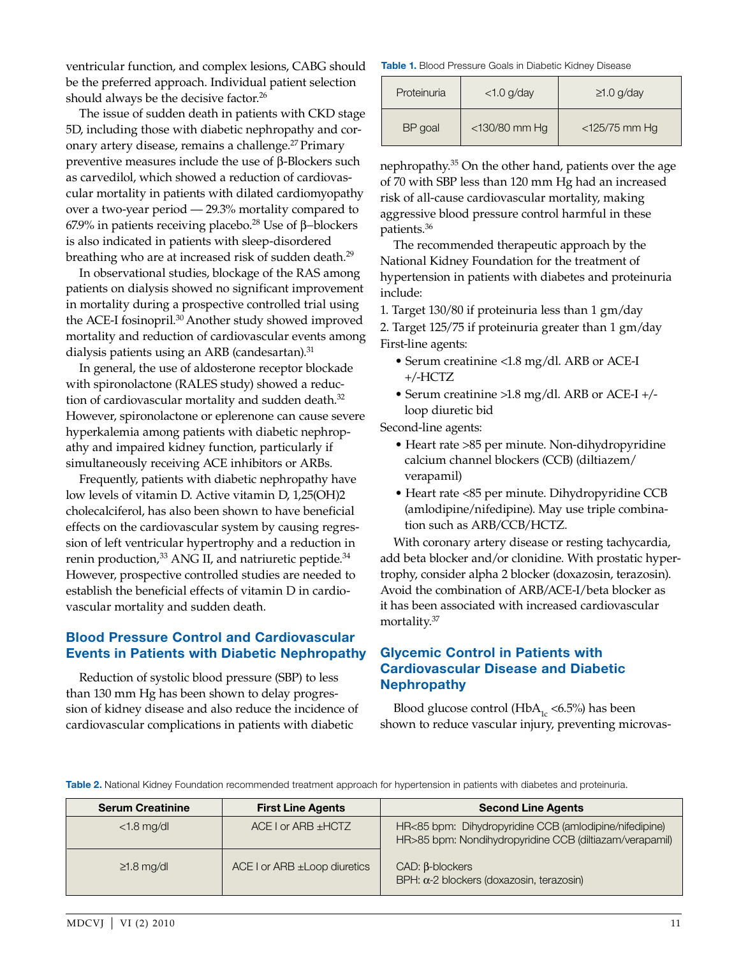ventricular function, and complex lesions, CABG should **Table 1.** Blood Pressure Goals in Diabetic Kidney Disease be the preferred approach. Individual patient selection should always be the decisive factor.<sup>26</sup>

The issue of sudden death in patients with CKD stage 5D, including those with diabetic nephropathy and coronary artery disease, remains a challenge.<sup>27</sup> Primary preventive measures include the use of β-Blockers such as carvedilol, which showed a reduction of cardiovascular mortality in patients with dilated cardiomyopathy over a two-year period — 29.3% mortality compared to 67.9% in patients receiving placebo.<sup>28</sup> Use of β-blockers is also indicated in patients with sleep-disordered breathing who are at increased risk of sudden death.<sup>29</sup>

In observational studies, blockage of the RAS among patients on dialysis showed no significant improvement in mortality during a prospective controlled trial using the ACE-I fosinopril.30 Another study showed improved mortality and reduction of cardiovascular events among dialysis patients using an ARB (candesartan).31

In general, the use of aldosterone receptor blockade with spironolactone (RALES study) showed a reduction of cardiovascular mortality and sudden death.<sup>32</sup> However, spironolactone or eplerenone can cause severe hyperkalemia among patients with diabetic nephropathy and impaired kidney function, particularly if simultaneously receiving ACE inhibitors or ARBs.

Frequently, patients with diabetic nephropathy have low levels of vitamin D. Active vitamin D, 1,25(OH)2 cholecalciferol, has also been shown to have beneficial effects on the cardiovascular system by causing regression of left ventricular hypertrophy and a reduction in renin production,  $33$  ANG II, and natriuretic peptide. $34$ However, prospective controlled studies are needed to establish the beneficial effects of vitamin D in cardiovascular mortality and sudden death.

### **Blood Pressure Control and Cardiovascular Events in Patients with Diabetic Nephropathy**

Reduction of systolic blood pressure (SBP) to less than 130 mm Hg has been shown to delay progression of kidney disease and also reduce the incidence of cardiovascular complications in patients with diabetic

| Proteinuria | $<$ 1.0 g/day    | $\geq$ 1.0 g/day |
|-------------|------------------|------------------|
| BP goal     | $<$ 130/80 mm Hg | $<$ 125/75 mm Hg |

nephropathy.35 On the other hand, patients over the age of 70 with SBP less than 120 mm Hg had an increased risk of all-cause cardiovascular mortality, making aggressive blood pressure control harmful in these patients.36

The recommended therapeutic approach by the National Kidney Foundation for the treatment of hypertension in patients with diabetes and proteinuria include:

1. Target 130/80 if proteinuria less than 1 gm/day

2. Target 125/75 if proteinuria greater than 1 gm/day First-line agents:

- Serum creatinine <1.8 mg/dl. ARB or ACE-I +/-HCTZ
- Serum creatinine >1.8 mg/dl. ARB or ACE-I +/ loop diuretic bid

Second-line agents:

- Heart rate >85 per minute. Non-dihydropyridine calcium channel blockers (CCB) (diltiazem/ verapamil)
- Heart rate <85 per minute. Dihydropyridine CCB (amlodipine/nifedipine). May use triple combination such as ARB/CCB/HCTZ.

With coronary artery disease or resting tachycardia, add beta blocker and/or clonidine. With prostatic hypertrophy, consider alpha 2 blocker (doxazosin, terazosin). Avoid the combination of ARB/ACE-I/beta blocker as it has been associated with increased cardiovascular mortality.37

# **Glycemic Control in Patients with Cardiovascular Disease and Diabetic Nephropathy**

Blood glucose control ( $HbA<sub>1c</sub> < 6.5%$ ) has been shown to reduce vascular injury, preventing microvas-

**Table 2.** National Kidney Foundation recommended treatment approach for hypertension in patients with diabetes and proteinuria.

| <b>Serum Creatinine</b> | <b>First Line Agents</b>            | <b>Second Line Agents</b>                                                                                         |
|-------------------------|-------------------------------------|-------------------------------------------------------------------------------------------------------------------|
| $<$ 1.8 mg/dl           | $ACE$ I or $ARB \pm HCTZ$           | HR<85 bpm: Dihydropyridine CCB (amlodipine/nifedipine)<br>HR>85 bpm: Nondihydropyridine CCB (diltiazam/verapamil) |
| $\geq$ 1.8 mg/dl        | $ACE$ I or ARB $\pm$ Loop diuretics | $CAD: \beta$ -blockers<br>BPH: $\alpha$ -2 blockers (doxazosin, terazosin)                                        |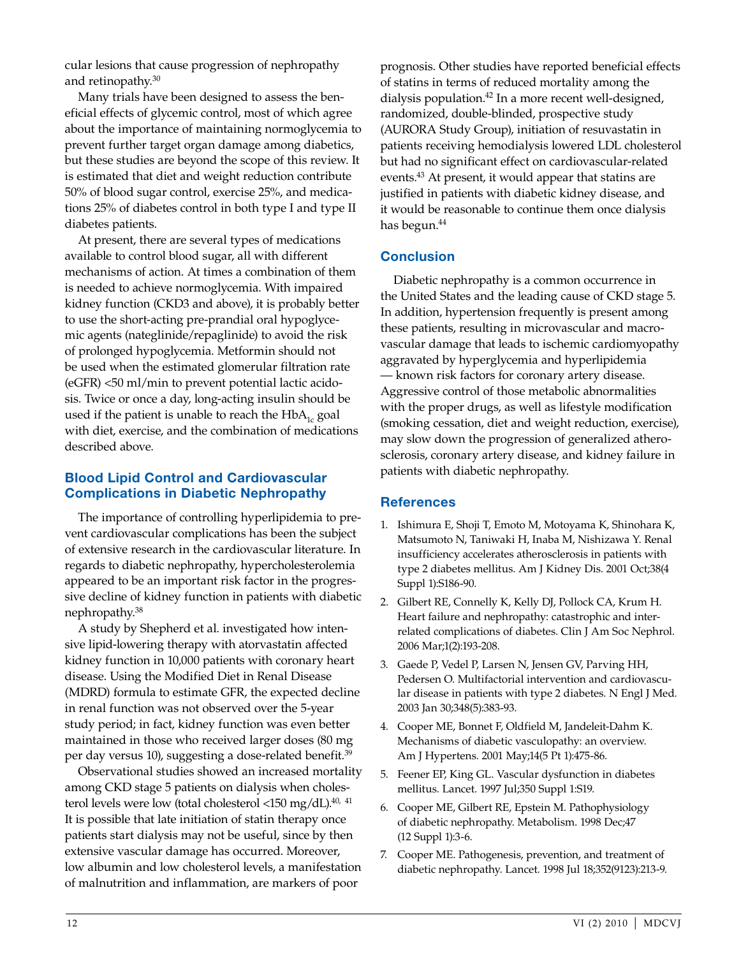cular lesions that cause progression of nephropathy and retinopathy.30

Many trials have been designed to assess the beneficial effects of glycemic control, most of which agree about the importance of maintaining normoglycemia to prevent further target organ damage among diabetics, but these studies are beyond the scope of this review. It is estimated that diet and weight reduction contribute 50% of blood sugar control, exercise 25%, and medications 25% of diabetes control in both type I and type II diabetes patients.

At present, there are several types of medications available to control blood sugar, all with different mechanisms of action. At times a combination of them is needed to achieve normoglycemia. With impaired kidney function (CKD3 and above), it is probably better to use the short-acting pre-prandial oral hypoglycemic agents (nateglinide/repaglinide) to avoid the risk of prolonged hypoglycemia. Metformin should not be used when the estimated glomerular filtration rate (eGFR) <50 ml/min to prevent potential lactic acidosis. Twice or once a day, long-acting insulin should be used if the patient is unable to reach the  $HbA_{1c}$  goal with diet, exercise, and the combination of medications described above.

# **Blood Lipid Control and Cardiovascular Complications in Diabetic Nephropathy**

The importance of controlling hyperlipidemia to prevent cardiovascular complications has been the subject of extensive research in the cardiovascular literature. In regards to diabetic nephropathy, hypercholesterolemia appeared to be an important risk factor in the progressive decline of kidney function in patients with diabetic nephropathy.<sup>38</sup>

A study by Shepherd et al. investigated how intensive lipid-lowering therapy with atorvastatin affected kidney function in 10,000 patients with coronary heart disease. Using the Modified Diet in Renal Disease (MDRD) formula to estimate GFR, the expected decline in renal function was not observed over the 5-year study period; in fact, kidney function was even better maintained in those who received larger doses (80 mg per day versus 10), suggesting a dose-related benefit.<sup>39</sup>

Observational studies showed an increased mortality among CKD stage 5 patients on dialysis when cholesterol levels were low (total cholesterol <150 mg/dL).<sup>40, 41</sup> It is possible that late initiation of statin therapy once patients start dialysis may not be useful, since by then extensive vascular damage has occurred. Moreover, low albumin and low cholesterol levels, a manifestation of malnutrition and inflammation, are markers of poor

prognosis. Other studies have reported beneficial effects of statins in terms of reduced mortality among the dialysis population.<sup>42</sup> In a more recent well-designed, randomized, double-blinded, prospective study (AURORA Study Group), initiation of resuvastatin in patients receiving hemodialysis lowered LDL cholesterol but had no significant effect on cardiovascular-related events.<sup>43</sup> At present, it would appear that statins are justified in patients with diabetic kidney disease, and it would be reasonable to continue them once dialysis has begun.<sup>44</sup>

### **Conclusion**

Diabetic nephropathy is a common occurrence in the United States and the leading cause of CKD stage 5. In addition, hypertension frequently is present among these patients, resulting in microvascular and macrovascular damage that leads to ischemic cardiomyopathy aggravated by hyperglycemia and hyperlipidemia — known risk factors for coronary artery disease. Aggressive control of those metabolic abnormalities with the proper drugs, as well as lifestyle modification (smoking cessation, diet and weight reduction, exercise), may slow down the progression of generalized atherosclerosis, coronary artery disease, and kidney failure in patients with diabetic nephropathy.

### **References**

- 1. Ishimura E, Shoji T, Emoto M, Motoyama K, Shinohara K, Matsumoto N, Taniwaki H, Inaba M, Nishizawa Y. Renal insufficiency accelerates atherosclerosis in patients with type 2 diabetes mellitus. Am J Kidney Dis. 2001 Oct;38(4 Suppl 1):S186-90.
- 2. Gilbert RE, Connelly K, Kelly DJ, Pollock CA, Krum H. Heart failure and nephropathy: catastrophic and interrelated complications of diabetes. Clin J Am Soc Nephrol. 2006 Mar;1(2):193-208.
- 3. Gaede P, Vedel P, Larsen N, Jensen GV, Parving HH, Pedersen O. Multifactorial intervention and cardiovascular disease in patients with type 2 diabetes. N Engl J Med. 2003 Jan 30;348(5):383-93.
- 4. Cooper ME, Bonnet F, Oldfield M, Jandeleit-Dahm K. Mechanisms of diabetic vasculopathy: an overview. Am J Hypertens. 2001 May;14(5 Pt 1):475-86.
- 5. Feener EP, King GL. Vascular dysfunction in diabetes mellitus. Lancet. 1997 Jul;350 Suppl 1:S19.
- 6. Cooper ME, Gilbert RE, Epstein M. Pathophysiology of diabetic nephropathy. Metabolism. 1998 Dec;47 (12 Suppl 1):3-6.
- 7. Cooper ME. Pathogenesis, prevention, and treatment of diabetic nephropathy. Lancet. 1998 Jul 18;352(9123):213-9.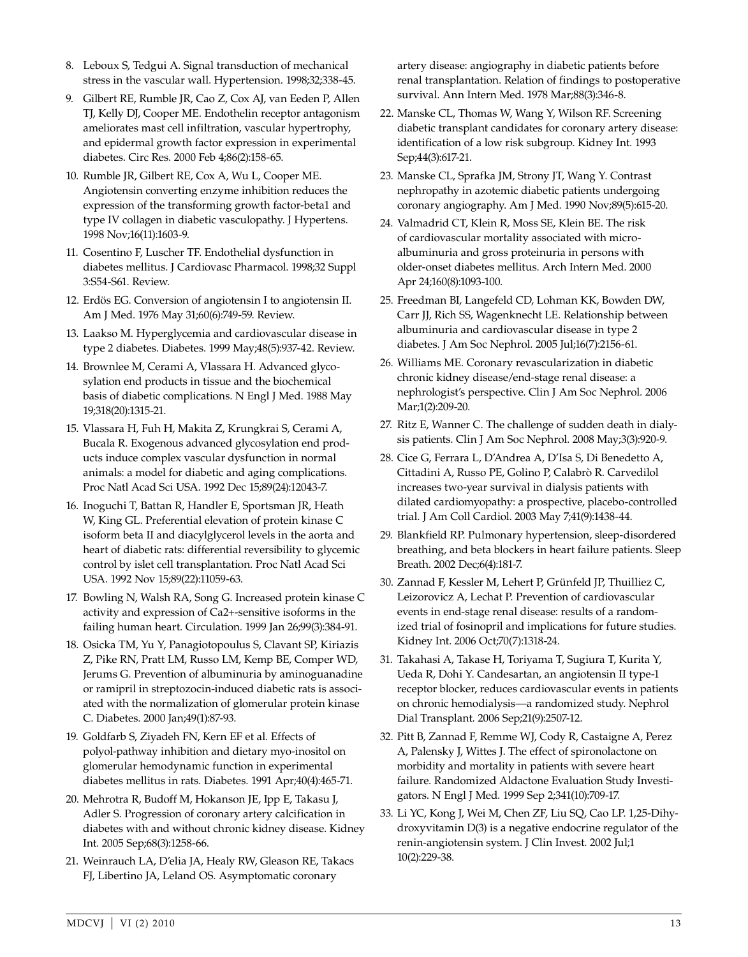- 8. Leboux S, Tedgui A. Signal transduction of mechanical stress in the vascular wall. Hypertension. 1998;32;338-45.
- 9. Gilbert RE, Rumble JR, Cao Z, Cox AJ, van Eeden P, Allen TJ, Kelly DJ, Cooper ME. Endothelin receptor antagonism ameliorates mast cell infiltration, vascular hypertrophy, and epidermal growth factor expression in experimental diabetes. Circ Res. 2000 Feb 4;86(2):158-65.
- 10. Rumble JR, Gilbert RE, Cox A, Wu L, Cooper ME. Angiotensin converting enzyme inhibition reduces the expression of the transforming growth factor-beta1 and type IV collagen in diabetic vasculopathy. J Hypertens. 1998 Nov;16(11):1603-9.
- 11. Cosentino F, Luscher TF. Endothelial dysfunction in diabetes mellitus. J Cardiovasc Pharmacol. 1998;32 Suppl 3:S54-S61. Review.
- 12. Erdös EG. Conversion of angiotensin I to angiotensin II. Am J Med. 1976 May 31;60(6):749-59. Review.
- 13. Laakso M. Hyperglycemia and cardiovascular disease in type 2 diabetes. Diabetes. 1999 May;48(5):937-42. Review.
- 14. Brownlee M, Cerami A, Vlassara H. Advanced glycosylation end products in tissue and the biochemical basis of diabetic complications. N Engl J Med. 1988 May 19;318(20):1315-21.
- 15. Vlassara H, Fuh H, Makita Z, Krungkrai S, Cerami A, Bucala R. Exogenous advanced glycosylation end products induce complex vascular dysfunction in normal animals: a model for diabetic and aging complications. Proc Natl Acad Sci USA. 1992 Dec 15;89(24):12043-7.
- 16. Inoguchi T, Battan R, Handler E, Sportsman JR, Heath W, King GL. Preferential elevation of protein kinase C isoform beta II and diacylglycerol levels in the aorta and heart of diabetic rats: differential reversibility to glycemic control by islet cell transplantation. Proc Natl Acad Sci USA. 1992 Nov 15;89(22):11059-63.
- 17. Bowling N, Walsh RA, Song G. Increased protein kinase C activity and expression of Ca2+-sensitive isoforms in the failing human heart. Circulation. 1999 Jan 26;99(3):384-91.
- 18. Osicka TM, Yu Y, Panagiotopoulus S, Clavant SP, Kiriazis Z, Pike RN, Pratt LM, Russo LM, Kemp BE, Comper WD, Jerums G. Prevention of albuminuria by aminoguanadine or ramipril in streptozocin-induced diabetic rats is associated with the normalization of glomerular protein kinase C. Diabetes. 2000 Jan;49(1):87-93.
- 19. Goldfarb S, Ziyadeh FN, Kern EF et al. Effects of polyol-pathway inhibition and dietary myo-inositol on glomerular hemodynamic function in experimental diabetes mellitus in rats. Diabetes. 1991 Apr;40(4):465-71.
- 20. Mehrotra R, Budoff M, Hokanson JE, Ipp E, Takasu J, Adler S. Progression of coronary artery calcification in diabetes with and without chronic kidney disease. Kidney Int. 2005 Sep;68(3):1258-66.
- 21. Weinrauch LA, D'elia JA, Healy RW, Gleason RE, Takacs FJ, Libertino JA, Leland OS. Asymptomatic coronary

artery disease: angiography in diabetic patients before renal transplantation. Relation of findings to postoperative survival. Ann Intern Med. 1978 Mar;88(3):346-8.

- 22. Manske CL, Thomas W, Wang Y, Wilson RF. Screening diabetic transplant candidates for coronary artery disease: identification of a low risk subgroup. Kidney Int. 1993 Sep;44(3):617-21.
- 23. Manske CL, Sprafka JM, Strony JT, Wang Y. Contrast nephropathy in azotemic diabetic patients undergoing coronary angiography. Am J Med. 1990 Nov;89(5):615-20.
- 24. Valmadrid CT, Klein R, Moss SE, Klein BE. The risk of cardiovascular mortality associated with microalbuminuria and gross proteinuria in persons with older-onset diabetes mellitus. Arch Intern Med. 2000 Apr 24;160(8):1093-100.
- 25. Freedman BI, Langefeld CD, Lohman KK, Bowden DW, Carr JJ, Rich SS, Wagenknecht LE. Relationship between albuminuria and cardiovascular disease in type 2 diabetes. J Am Soc Nephrol. 2005 Jul;16(7):2156-61.
- 26. Williams ME. Coronary revascularization in diabetic chronic kidney disease/end-stage renal disease: a nephrologist's perspective. Clin J Am Soc Nephrol. 2006 Mar;1(2):209-20.
- 27. Ritz E, Wanner C. The challenge of sudden death in dialysis patients. Clin J Am Soc Nephrol. 2008 May;3(3):920-9.
- 28. Cice G, Ferrara L, D'Andrea A, D'Isa S, Di Benedetto A, Cittadini A, Russo PE, Golino P, Calabrò R. Carvedilol increases two-year survival in dialysis patients with dilated cardiomyopathy: a prospective, placebo-controlled trial. J Am Coll Cardiol. 2003 May 7;41(9):1438-44.
- 29. Blankfield RP. Pulmonary hypertension, sleep-disordered breathing, and beta blockers in heart failure patients. Sleep Breath. 2002 Dec;6(4):181-7.
- 30. Zannad F, Kessler M, Lehert P, Grünfeld JP, Thuilliez C, Leizorovicz A, Lechat P. Prevention of cardiovascular events in end-stage renal disease: results of a randomized trial of fosinopril and implications for future studies. Kidney Int. 2006 Oct;70(7):1318-24.
- 31. Takahasi A, Takase H, Toriyama T, Sugiura T, Kurita Y, Ueda R, Dohi Y. Candesartan, an angiotensin II type-1 receptor blocker, reduces cardiovascular events in patients on chronic hemodialysis—a randomized study. Nephrol Dial Transplant. 2006 Sep;21(9):2507-12.
- 32. Pitt B, Zannad F, Remme WJ, Cody R, Castaigne A, Perez A, Palensky J, Wittes J. The effect of spironolactone on morbidity and mortality in patients with severe heart failure. Randomized Aldactone Evaluation Study Investigators. N Engl J Med. 1999 Sep 2;341(10):709-17.
- 33. Li YC, Kong J, Wei M, Chen ZF, Liu SQ, Cao LP. 1,25-Dihydroxyvitamin D(3) is a negative endocrine regulator of the renin-angiotensin system. J Clin Invest. 2002 Jul;1 10(2):229-38.